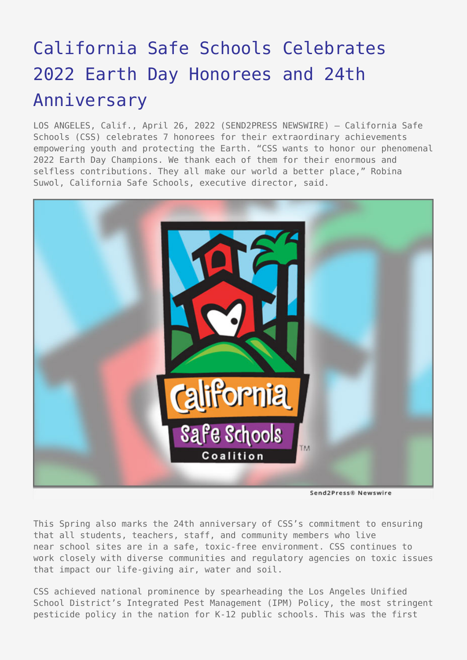# [California Safe Schools Celebrates](https://www.send2press.com/wire/california-safe-schools-celebrates-2022-earth-day-honorees-and-24th-anniversary/) [2022 Earth Day Honorees and 24th](https://www.send2press.com/wire/california-safe-schools-celebrates-2022-earth-day-honorees-and-24th-anniversary/) [Anniversary](https://www.send2press.com/wire/california-safe-schools-celebrates-2022-earth-day-honorees-and-24th-anniversary/)

LOS ANGELES, Calif., April 26, 2022 (SEND2PRESS NEWSWIRE) — California Safe Schools (CSS) celebrates 7 honorees for their extraordinary achievements empowering youth and protecting the Earth. "CSS wants to honor our phenomenal 2022 Earth Day Champions. We thank each of them for their enormous and selfless contributions. They all make our world a better place," Robina Suwol, California Safe Schools, executive director, said.



Send2Press® Newswire

This Spring also marks the 24th anniversary of CSS's commitment to ensuring that all students, teachers, staff, and community members who live near school sites are in a safe, toxic-free environment. CSS continues to work closely with diverse communities and regulatory agencies on toxic issues that impact our life-giving air, water and soil.

CSS achieved national prominence by spearheading the Los Angeles Unified School District's Integrated Pest Management (IPM) Policy, the most stringent pesticide policy in the nation for K-12 public schools. This was the first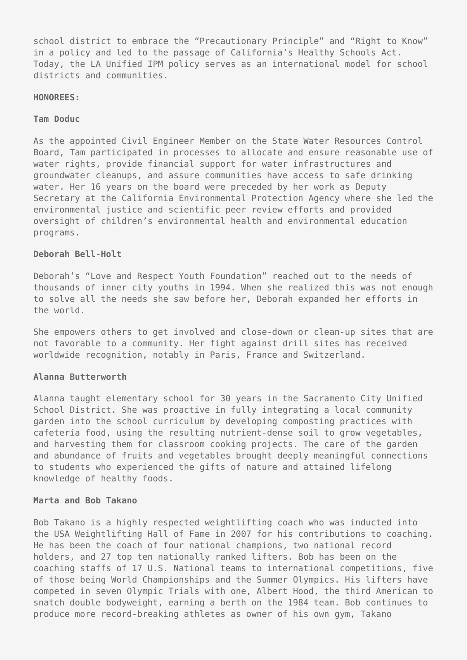school district to embrace the "Precautionary Principle" and "Right to Know" in a policy and led to the passage of California's Healthy Schools Act. Today, the LA Unified IPM policy serves as an international model for school districts and communities.

#### **HONOREES:**

#### **Tam Doduc**

As the appointed Civil Engineer Member on the State Water Resources Control Board, Tam participated in processes to allocate and ensure reasonable use of water rights, provide financial support for water infrastructures and groundwater cleanups, and assure communities have access to safe drinking water. Her 16 years on the board were preceded by her work as Deputy Secretary at the California Environmental Protection Agency where she led the environmental justice and scientific peer review efforts and provided oversight of children's environmental health and environmental education programs.

## **Deborah Bell-Holt**

Deborah's "Love and Respect Youth Foundation" reached out to the needs of thousands of inner city youths in 1994. When she realized this was not enough to solve all the needs she saw before her, Deborah expanded her efforts in the world.

She empowers others to get involved and close-down or clean-up sites that are not favorable to a community. Her fight against drill sites has received worldwide recognition, notably in Paris, France and Switzerland.

## **Alanna Butterworth**

Alanna taught elementary school for 30 years in the Sacramento City Unified School District. She was proactive in fully integrating a local community garden into the school curriculum by developing composting practices with cafeteria food, using the resulting nutrient-dense soil to grow vegetables, and harvesting them for classroom cooking projects. The care of the garden and abundance of fruits and vegetables brought deeply meaningful connections to students who experienced the gifts of nature and attained lifelong knowledge of healthy foods.

### **Marta and Bob Takano**

Bob Takano is a highly respected weightlifting coach who was inducted into the USA Weightlifting Hall of Fame in 2007 for his contributions to coaching. He has been the coach of four national champions, two national record holders, and 27 top ten nationally ranked lifters. Bob has been on the coaching staffs of 17 U.S. National teams to international competitions, five of those being World Championships and the Summer Olympics. His lifters have competed in seven Olympic Trials with one, Albert Hood, the third American to snatch double bodyweight, earning a berth on the 1984 team. Bob continues to produce more record-breaking athletes as owner of his own gym, Takano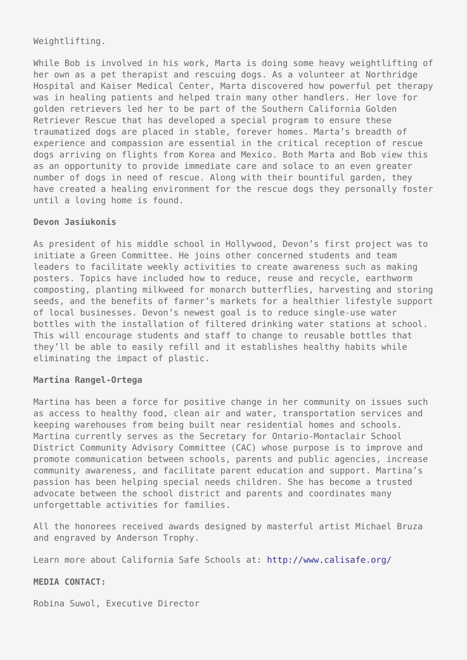## Weightlifting.

While Bob is involved in his work, Marta is doing some heavy weightlifting of her own as a pet therapist and rescuing dogs. As a volunteer at Northridge Hospital and Kaiser Medical Center, Marta discovered how powerful pet therapy was in healing patients and helped train many other handlers. Her love for golden retrievers led her to be part of the Southern California Golden Retriever Rescue that has developed a special program to ensure these traumatized dogs are placed in stable, forever homes. Marta's breadth of experience and compassion are essential in the critical reception of rescue dogs arriving on flights from Korea and Mexico. Both Marta and Bob view this as an opportunity to provide immediate care and solace to an even greater number of dogs in need of rescue. Along with their bountiful garden, they have created a healing environment for the rescue dogs they personally foster until a loving home is found.

## **Devon Jasiukonis**

As president of his middle school in Hollywood, Devon's first project was to initiate a Green Committee. He joins other concerned students and team leaders to facilitate weekly activities to create awareness such as making posters. Topics have included how to reduce, reuse and recycle, earthworm composting, planting milkweed for monarch butterflies, harvesting and storing seeds, and the benefits of farmer's markets for a healthier lifestyle support of local businesses. Devon's newest goal is to reduce single-use water bottles with the installation of filtered drinking water stations at school. This will encourage students and staff to change to reusable bottles that they'll be able to easily refill and it establishes healthy habits while eliminating the impact of plastic.

### **Martina Rangel-Ortega**

Martina has been a force for positive change in her community on issues such as access to healthy food, clean air and water, transportation services and keeping warehouses from being built near residential homes and schools. Martina currently serves as the Secretary for Ontario-Montaclair School District Community Advisory Committee (CAC) whose purpose is to improve and promote communication between schools, parents and public agencies, increase community awareness, and facilitate parent education and support. Martina's passion has been helping special needs children. She has become a trusted advocate between the school district and parents and coordinates many unforgettable activities for families.

All the honorees received awards designed by masterful artist Michael Bruza and engraved by Anderson Trophy.

Learn more about California Safe Schools at: <http://www.calisafe.org/>

## **MEDIA CONTACT:**

Robina Suwol, Executive Director